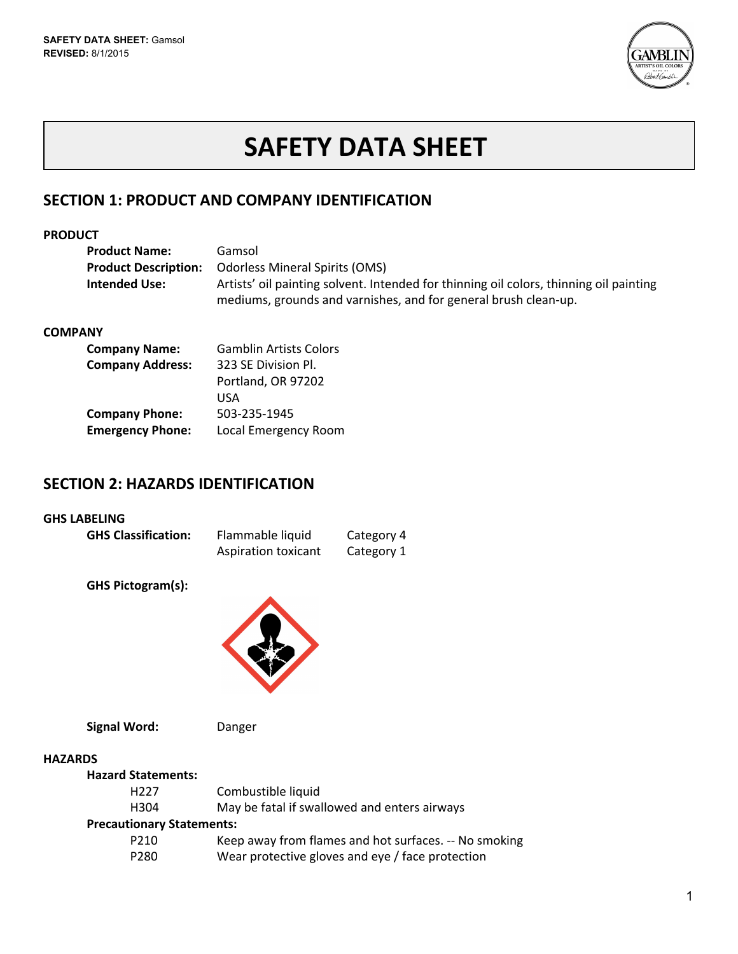

# **SAFETY DATA SHEET**

# **SECTION 1: PRODUCT AND COMPANY IDENTIFICATION**

## **PRODUCT**

| <b>Product Name:</b>        | Gamsol                                                                                 |
|-----------------------------|----------------------------------------------------------------------------------------|
| <b>Product Description:</b> | <b>Odorless Mineral Spirits (OMS)</b>                                                  |
| Intended Use:               | Artists' oil painting solvent. Intended for thinning oil colors, thinning oil painting |
|                             | mediums, grounds and varnishes, and for general brush clean-up.                        |

## **COMPANY**

| <b>Company Name:</b>    | <b>Gamblin Artists Colors</b> |
|-------------------------|-------------------------------|
| <b>Company Address:</b> | 323 SE Division Pl.           |
|                         | Portland, OR 97202            |
|                         | USA                           |
| <b>Company Phone:</b>   | 503-235-1945                  |
| <b>Emergency Phone:</b> | Local Emergency Room          |

# **SECTION 2: HAZARDS IDENTIFICATION**

## **GHS LABELING**

| <b>GHS Classification:</b> | Flammable liquid    | Category 4 |
|----------------------------|---------------------|------------|
|                            | Aspiration toxicant | Category 1 |

**GHS Pictogram(s):**



**Signal Word:** Danger

#### **HAZARDS**

| <b>Hazard Statements:</b>        |                                                       |
|----------------------------------|-------------------------------------------------------|
| H <sub>227</sub>                 | Combustible liquid                                    |
| H304                             | May be fatal if swallowed and enters airways          |
| <b>Precautionary Statements:</b> |                                                       |
| P <sub>210</sub>                 | Keep away from flames and hot surfaces. -- No smoking |
| P <sub>280</sub>                 | Wear protective gloves and eye / face protection      |
|                                  |                                                       |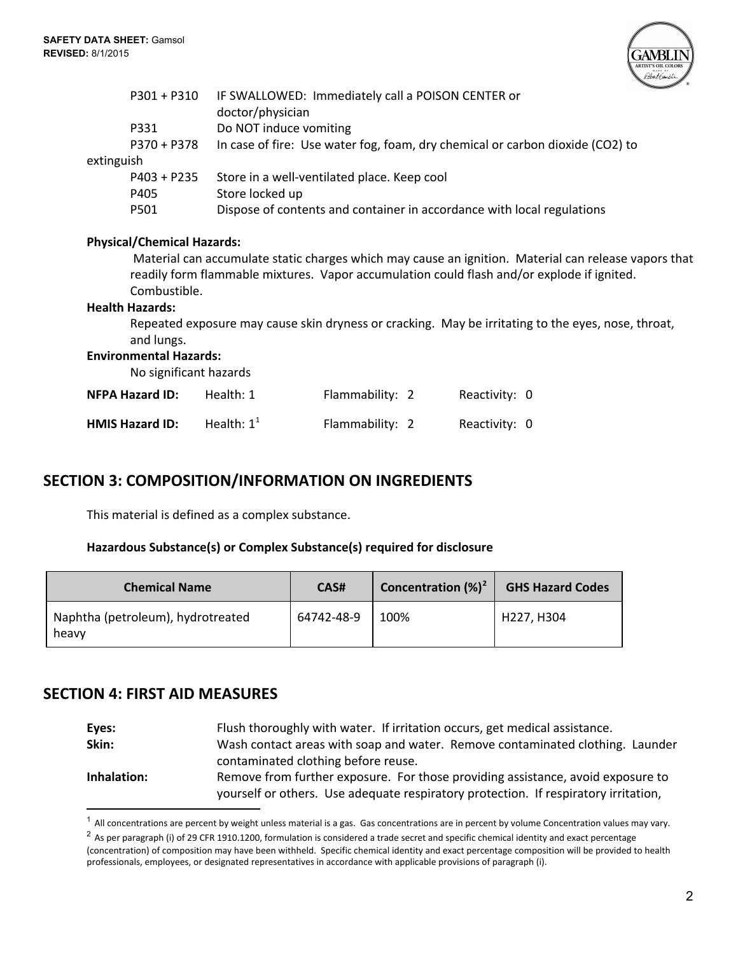

|            | $P301 + P310$                     | IF SWALLOWED: Immediately call a POISON CENTER or<br>doctor/physician  |                 |               |                                                                                                      |  |
|------------|-----------------------------------|------------------------------------------------------------------------|-----------------|---------------|------------------------------------------------------------------------------------------------------|--|
|            | P331                              | Do NOT induce vomiting                                                 |                 |               |                                                                                                      |  |
|            | P370 + P378                       |                                                                        |                 |               | In case of fire: Use water fog, foam, dry chemical or carbon dioxide (CO2) to                        |  |
| extinguish |                                   |                                                                        |                 |               |                                                                                                      |  |
|            | $P403 + P235$                     | Store in a well-ventilated place. Keep cool                            |                 |               |                                                                                                      |  |
|            | P405                              | Store locked up                                                        |                 |               |                                                                                                      |  |
|            | P501                              | Dispose of contents and container in accordance with local regulations |                 |               |                                                                                                      |  |
|            |                                   |                                                                        |                 |               |                                                                                                      |  |
|            | <b>Physical/Chemical Hazards:</b> |                                                                        |                 |               |                                                                                                      |  |
|            |                                   |                                                                        |                 |               | Material can accumulate static charges which may cause an ignition. Material can release vapors that |  |
|            |                                   |                                                                        |                 |               | readily form flammable mixtures. Vapor accumulation could flash and/or explode if ignited.           |  |
|            | Combustible.                      |                                                                        |                 |               |                                                                                                      |  |
|            | <b>Health Hazards:</b>            |                                                                        |                 |               |                                                                                                      |  |
|            | and lungs.                        |                                                                        |                 |               | Repeated exposure may cause skin dryness or cracking. May be irritating to the eyes, nose, throat,   |  |
|            | <b>Environmental Hazards:</b>     |                                                                        |                 |               |                                                                                                      |  |
|            | No significant hazards            |                                                                        |                 |               |                                                                                                      |  |
|            | <b>NFPA Hazard ID:</b>            | Health: 1                                                              | Flammability: 2 | Reactivity: 0 |                                                                                                      |  |
|            | <b>HMIS Hazard ID:</b>            | Health: $1^1$                                                          | Flammability: 2 | Reactivity: 0 |                                                                                                      |  |
|            |                                   |                                                                        |                 |               |                                                                                                      |  |

# **SECTION 3: COMPOSITION/INFORMATION ON INGREDIENTS**

This material is defined as a complex substance.

## **Hazardous Substance(s) or Complex Substance(s) required for disclosure**

| <b>Chemical Name</b>                       | CAS#       | <b>Concentration</b> $({\%)}^2$ | <b>GHS Hazard Codes</b> |
|--------------------------------------------|------------|---------------------------------|-------------------------|
| Naphtha (petroleum), hydrotreated<br>heavy | 64742-48-9 | 100%                            | H227, H304              |

# **SECTION 4: FIRST AID MEASURES**

| Eyes:       | Flush thoroughly with water. If irritation occurs, get medical assistance.                                                                                             |
|-------------|------------------------------------------------------------------------------------------------------------------------------------------------------------------------|
| Skin:       | Wash contact areas with soap and water. Remove contaminated clothing. Launder                                                                                          |
|             | contaminated clothing before reuse.                                                                                                                                    |
| Inhalation: | Remove from further exposure. For those providing assistance, avoid exposure to<br>yourself or others. Use adequate respiratory protection. If respiratory irritation, |

 $1$  All concentrations are percent by weight unless material is a gas. Gas concentrations are in percent by volume Concentration values may vary.

 $2$  As per paragraph (i) of 29 CFR 1910.1200, formulation is considered a trade secret and specific chemical identity and exact percentage (concentration) of composition may have been withheld. Specific chemical identity and exact percentage composition will be provided to health professionals, employees, or designated representatives in accordance with applicable provisions of paragraph (i).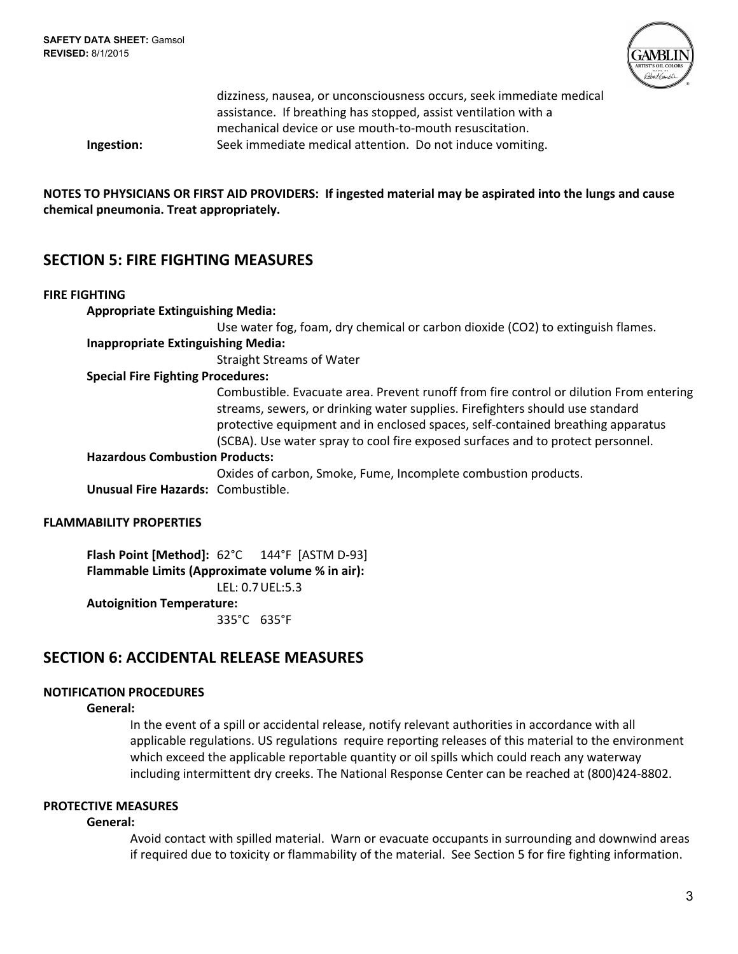

|            | dizziness, nausea, or unconsciousness occurs, seek immediate medical |
|------------|----------------------------------------------------------------------|
|            | assistance. If breathing has stopped, assist ventilation with a      |
|            | mechanical device or use mouth-to-mouth resuscitation.               |
| Ingestion: | Seek immediate medical attention. Do not induce vomiting.            |
|            |                                                                      |

NOTES TO PHYSICIANS OR FIRST AID PROVIDERS: If ingested material may be aspirated into the lungs and cause **chemical pneumonia. Treat appropriately.**

# **SECTION 5: FIRE FIGHTING MEASURES**

## **FIRE FIGHTING**

| <b>Appropriate Extinguishing Media:</b>   |                                                                                                                                                                                                                                                                                                                                               |
|-------------------------------------------|-----------------------------------------------------------------------------------------------------------------------------------------------------------------------------------------------------------------------------------------------------------------------------------------------------------------------------------------------|
|                                           | Use water fog, foam, dry chemical or carbon dioxide (CO2) to extinguish flames.                                                                                                                                                                                                                                                               |
| <b>Inappropriate Extinguishing Media:</b> |                                                                                                                                                                                                                                                                                                                                               |
|                                           | <b>Straight Streams of Water</b>                                                                                                                                                                                                                                                                                                              |
| <b>Special Fire Fighting Procedures:</b>  |                                                                                                                                                                                                                                                                                                                                               |
|                                           | Combustible. Evacuate area. Prevent runoff from fire control or dilution From entering<br>streams, sewers, or drinking water supplies. Firefighters should use standard<br>protective equipment and in enclosed spaces, self-contained breathing apparatus<br>(SCBA). Use water spray to cool fire exposed surfaces and to protect personnel. |
| <b>Hazardous Combustion Products:</b>     |                                                                                                                                                                                                                                                                                                                                               |
|                                           | Oxides of carbon, Smoke, Fume, Incomplete combustion products.                                                                                                                                                                                                                                                                                |
| Unusual Fire Hazards: Combustible.        |                                                                                                                                                                                                                                                                                                                                               |
| <b>FLAMMABILITY PROPERTIES</b>            |                                                                                                                                                                                                                                                                                                                                               |

**Flash Point [Method]:** 62°C 144°F [ASTM D-93] **Flammable Limits (Approximate volume % in air):** LEL: 0.7UEL:5.3 **Autoignition Temperature:** 335°C 635°F

# **SECTION 6: ACCIDENTAL RELEASE MEASURES**

# **NOTIFICATION PROCEDURES**

**General:**

In the event of a spill or accidental release, notify relevant authorities in accordance with all applicable regulations. US regulations require reporting releases of this material to the environment which exceed the applicable reportable quantity or oil spills which could reach any waterway including intermittent dry creeks. The National Response Center can be reached at (800)424-8802.

# **PROTECTIVE MEASURES**

## **General:**

Avoid contact with spilled material. Warn or evacuate occupants in surrounding and downwind areas if required due to toxicity or flammability of the material. See Section 5 for fire fighting information.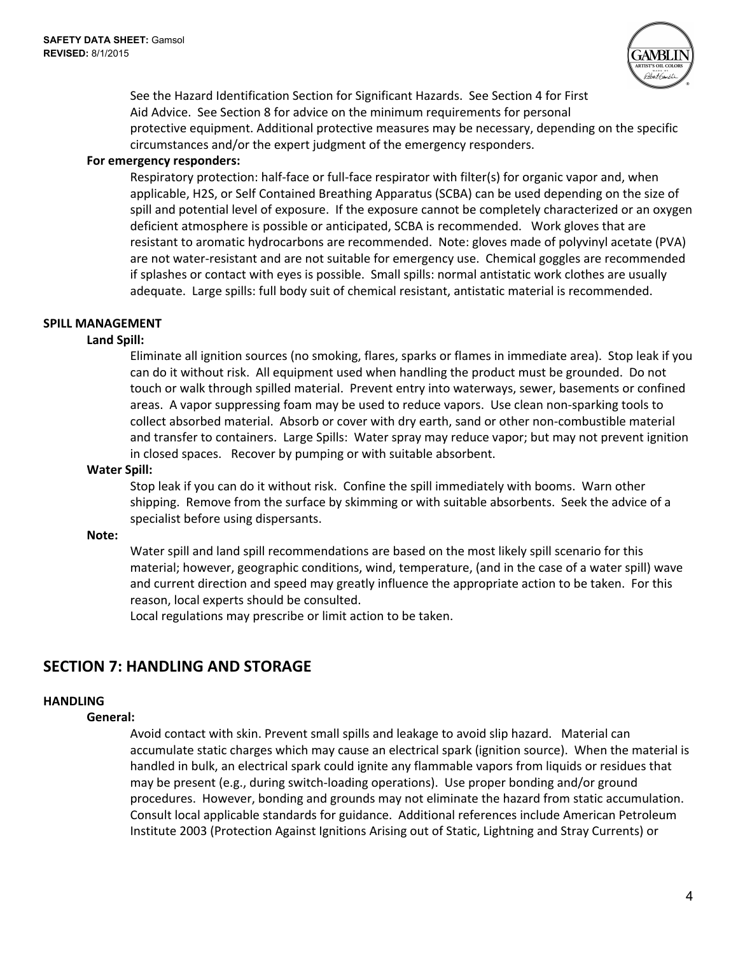

See the Hazard Identification Section for Significant Hazards. See Section 4 for First Aid Advice. See Section 8 for advice on the minimum requirements for personal protective equipment. Additional protective measures may be necessary, depending on the specific circumstances and/or the expert judgment of the emergency responders.

## **For emergency responders:**

Respiratory protection: half-face or full-face respirator with filter(s) for organic vapor and, when applicable, H2S, or Self Contained Breathing Apparatus (SCBA) can be used depending on the size of spill and potential level of exposure. If the exposure cannot be completely characterized or an oxygen deficient atmosphere is possible or anticipated, SCBA is recommended. Work gloves that are resistant to aromatic hydrocarbons are recommended. Note: gloves made of polyvinyl acetate (PVA) are not water-resistant and are not suitable for emergency use. Chemical goggles are recommended if splashes or contact with eyes is possible. Small spills: normal antistatic work clothes are usually adequate. Large spills: full body suit of chemical resistant, antistatic material is recommended.

## **SPILL MANAGEMENT**

## **Land Spill:**

Eliminate all ignition sources (no smoking, flares, sparks or flames in immediate area). Stop leak if you can do it without risk. All equipment used when handling the product must be grounded. Do not touch or walk through spilled material. Prevent entry into waterways, sewer, basements or confined areas. A vapor suppressing foam may be used to reduce vapors. Use clean non-sparking tools to collect absorbed material. Absorb or cover with dry earth, sand or other non-combustible material and transfer to containers. Large Spills: Water spray may reduce vapor; but may not prevent ignition in closed spaces. Recover by pumping or with suitable absorbent.

#### **Water Spill:**

Stop leak if you can do it without risk. Confine the spill immediately with booms. Warn other shipping. Remove from the surface by skimming or with suitable absorbents. Seek the advice of a specialist before using dispersants.

#### **Note:**

Water spill and land spill recommendations are based on the most likely spill scenario for this material; however, geographic conditions, wind, temperature, (and in the case of a water spill) wave and current direction and speed may greatly influence the appropriate action to be taken. For this reason, local experts should be consulted.

Local regulations may prescribe or limit action to be taken.

# **SECTION 7: HANDLING AND STORAGE**

## **HANDLING**

#### **General:**

Avoid contact with skin. Prevent small spills and leakage to avoid slip hazard. Material can accumulate static charges which may cause an electrical spark (ignition source). When the material is handled in bulk, an electrical spark could ignite any flammable vapors from liquids or residues that may be present (e.g., during switch-loading operations). Use proper bonding and/or ground procedures. However, bonding and grounds may not eliminate the hazard from static accumulation. Consult local applicable standards for guidance. Additional references include American Petroleum Institute 2003 (Protection Against Ignitions Arising out of Static, Lightning and Stray Currents) or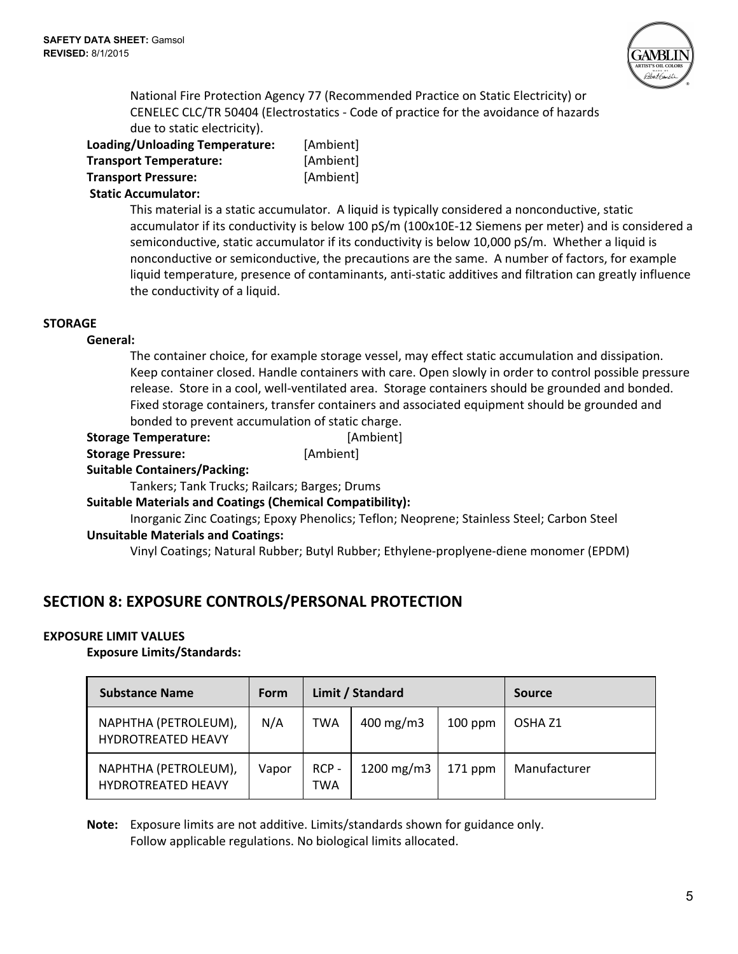

National Fire Protection Agency 77 (Recommended Practice on Static Electricity) or CENELEC CLC/TR 50404 (Electrostatics - Code of practice for the avoidance of hazards due to static electricity).

| Loading/Unloading Temperature: | [Ambient] |
|--------------------------------|-----------|
| <b>Transport Temperature:</b>  | [Ambient] |
| <b>Transport Pressure:</b>     | [Ambient] |
| .                              |           |

#### **Static Accumulator:**

This material is a static accumulator. A liquid is typically considered a nonconductive, static accumulator if its conductivity is below 100 pS/m (100x10E-12 Siemens per meter) and is considered a semiconductive, static accumulator if its conductivity is below 10,000 pS/m. Whether a liquid is nonconductive or semiconductive, the precautions are the same. A number of factors, for example liquid temperature, presence of contaminants, anti-static additives and filtration can greatly influence the conductivity of a liquid.

#### **STORAGE**

#### **General:**

The container choice, for example storage vessel, may effect static accumulation and dissipation. Keep container closed. Handle containers with care. Open slowly in order to control possible pressure release. Store in a cool, well-ventilated area. Storage containers should be grounded and bonded. Fixed storage containers, transfer containers and associated equipment should be grounded and bonded to prevent accumulation of static charge.

- **Storage Temperature:** [Ambient]
- **Storage Pressure:** [Ambient]

## **Suitable Containers/Packing:**

Tankers; Tank Trucks; Railcars; Barges; Drums

**Suitable Materials and Coatings (Chemical Compatibility):**

Inorganic Zinc Coatings; Epoxy Phenolics; Teflon; Neoprene; Stainless Steel; Carbon Steel **Unsuitable Materials and Coatings:**

Vinyl Coatings; Natural Rubber; Butyl Rubber; Ethylene-proplyene-diene monomer (EPDM)

# **SECTION 8: EXPOSURE CONTROLS/PERSONAL PROTECTION**

## **EXPOSURE LIMIT VALUES**

## **Exposure Limits/Standards:**

| <b>Substance Name</b>                             | <b>Form</b> | Limit / Standard |                      |           | <b>Source</b>      |
|---------------------------------------------------|-------------|------------------|----------------------|-----------|--------------------|
| NAPHTHA (PETROLEUM),<br><b>HYDROTREATED HEAVY</b> | N/A         | TWA              | $400 \text{ mg/m}$ 3 | $100$ ppm | OSHA <sub>Z1</sub> |
| NAPHTHA (PETROLEUM),<br><b>HYDROTREATED HEAVY</b> | Vapor       | $RCP -$<br>TWA   | 1200 mg/m $3$        | $171$ ppm | Manufacturer       |

**Note:** Exposure limits are not additive. Limits/standards shown for guidance only. Follow applicable regulations. No biological limits allocated.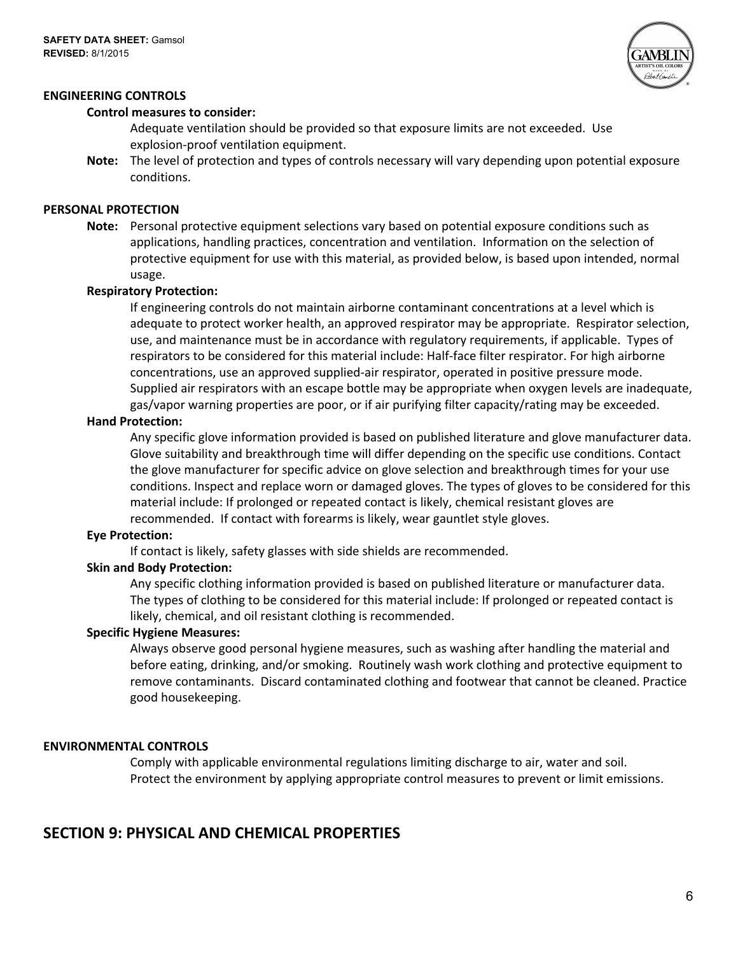



#### **Control measures to consider:**

Adequate ventilation should be provided so that exposure limits are not exceeded. Use explosion-proof ventilation equipment.

**Note:** The level of protection and types of controls necessary will vary depending upon potential exposure conditions.

#### **PERSONAL PROTECTION**

**Note:** Personal protective equipment selections vary based on potential exposure conditions such as applications, handling practices, concentration and ventilation. Information on the selection of protective equipment for use with this material, as provided below, is based upon intended, normal usage.

#### **Respiratory Protection:**

If engineering controls do not maintain airborne contaminant concentrations at a level which is adequate to protect worker health, an approved respirator may be appropriate. Respirator selection, use, and maintenance must be in accordance with regulatory requirements, if applicable. Types of respirators to be considered for this material include: Half-face filter respirator. For high airborne concentrations, use an approved supplied-air respirator, operated in positive pressure mode. Supplied air respirators with an escape bottle may be appropriate when oxygen levels are inadequate, gas/vapor warning properties are poor, or if air purifying filter capacity/rating may be exceeded.

#### **Hand Protection:**

Any specific glove information provided is based on published literature and glove manufacturer data. Glove suitability and breakthrough time will differ depending on the specific use conditions. Contact the glove manufacturer for specific advice on glove selection and breakthrough times for your use conditions. Inspect and replace worn or damaged gloves. The types of gloves to be considered for this material include: If prolonged or repeated contact is likely, chemical resistant gloves are recommended. If contact with forearms is likely, wear gauntlet style gloves.

#### **Eye Protection:**

If contact is likely, safety glasses with side shields are recommended.

#### **Skin and Body Protection:**

Any specific clothing information provided is based on published literature or manufacturer data. The types of clothing to be considered for this material include: If prolonged or repeated contact is likely, chemical, and oil resistant clothing is recommended.

#### **Specific Hygiene Measures:**

Always observe good personal hygiene measures, such as washing after handling the material and before eating, drinking, and/or smoking. Routinely wash work clothing and protective equipment to remove contaminants. Discard contaminated clothing and footwear that cannot be cleaned. Practice good housekeeping.

## **ENVIRONMENTAL CONTROLS**

Comply with applicable environmental regulations limiting discharge to air, water and soil. Protect the environment by applying appropriate control measures to prevent or limit emissions.

# **SECTION 9: PHYSICAL AND CHEMICAL PROPERTIES**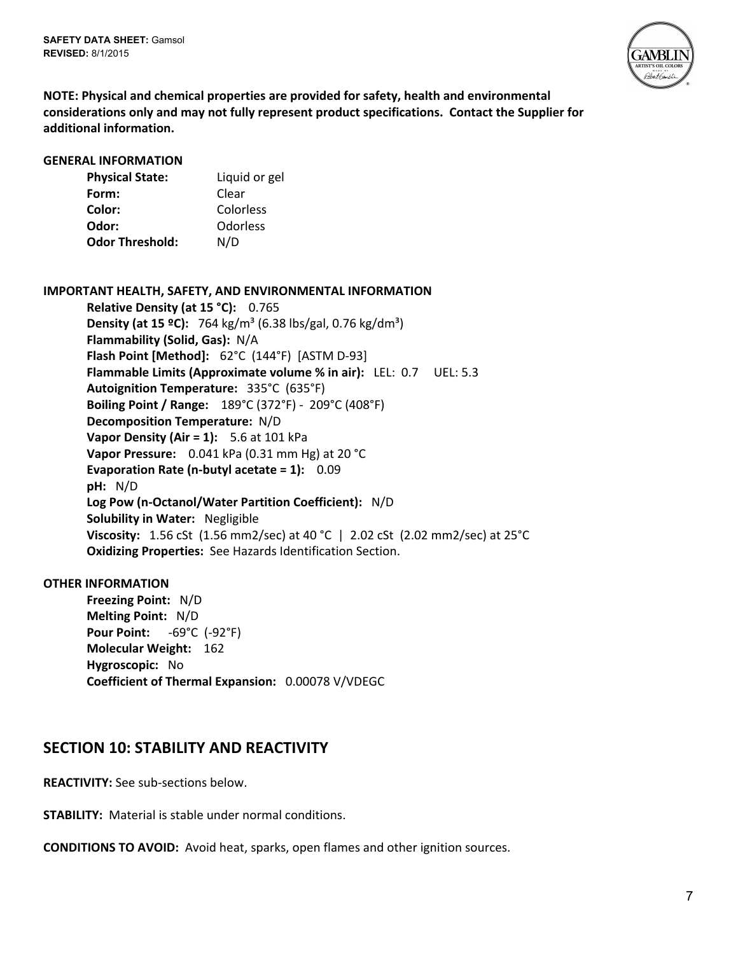**SAFETY DATA SHEET:**Gamsol **REVISED:**8/1/2015



**NOTE: Physical and chemical properties are provided for safety, health and environmental considerations only and may not fully represent product specifications. Contact the Supplier for additional information.**

#### **GENERAL INFORMATION**

| <b>Physical State:</b> | Liquid or gel |
|------------------------|---------------|
| Form:                  | Clear         |
| Color:                 | Colorless     |
| Odor:                  | Odorless      |
| <b>Odor Threshold:</b> | N/D           |

## **IMPORTANT HEALTH, SAFETY, AND ENVIRONMENTAL INFORMATION**

**Relative Density (at 15 °C):** 0.765 **Density (at 15 °C):** 764 kg/m<sup>3</sup> (6.38 lbs/gal, 0.76 kg/dm<sup>3</sup>) **Flammability (Solid, Gas):** N/A **Flash Point [Method]:** 62°C (144°F) [ASTM D-93] **Flammable Limits (Approximate volume % in air):** LEL: 0.7 UEL: 5.3 **Autoignition Temperature:** 335°C (635°F) **Boiling Point / Range:** 189°C (372°F) - 209°C (408°F) **Decomposition Temperature:** N/D **Vapor Density (Air = 1):** 5.6 at 101 kPa **Vapor Pressure:** 0.041 kPa (0.31 mm Hg) at 20 °C **Evaporation Rate (n-butyl acetate = 1):** 0.09 **pH:** N/D **Log Pow (n-Octanol/Water Partition Coefficient):** N/D **Solubility in Water:** Negligible **Viscosity:** 1.56 cSt (1.56 mm2/sec) at 40 °C | 2.02 cSt (2.02 mm2/sec) at 25°C **Oxidizing Properties:** See Hazards Identification Section.

## **OTHER INFORMATION**

**Freezing Point:** N/D **Melting Point:** N/D **Pour Point:** -69°C (-92°F) **Molecular Weight:** 162 **Hygroscopic:** No **Coefficient of Thermal Expansion:** 0.00078 V/VDEGC

# **SECTION 10: STABILITY AND REACTIVITY**

**REACTIVITY:** See sub-sections below.

**STABILITY:** Material is stable under normal conditions.

**CONDITIONS TO AVOID:** Avoid heat, sparks, open flames and other ignition sources.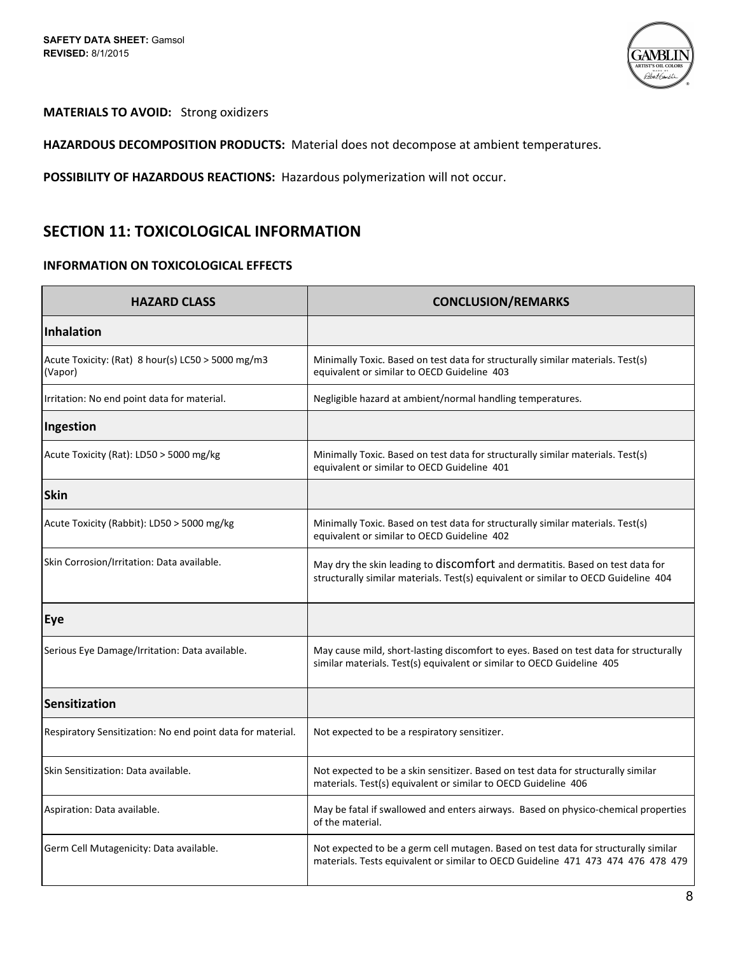

# **MATERIALS TO AVOID:** Strong oxidizers

**HAZARDOUS DECOMPOSITION PRODUCTS:** Material does not decompose at ambient temperatures.

**POSSIBILITY OF HAZARDOUS REACTIONS:** Hazardous polymerization will not occur.

# **SECTION 11: TOXICOLOGICAL INFORMATION**

## **INFORMATION ON TOXICOLOGICAL EFFECTS**

| <b>HAZARD CLASS</b>                                          | <b>CONCLUSION/REMARKS</b>                                                                                                                                               |
|--------------------------------------------------------------|-------------------------------------------------------------------------------------------------------------------------------------------------------------------------|
| Inhalation                                                   |                                                                                                                                                                         |
| Acute Toxicity: (Rat) 8 hour(s) LC50 > 5000 mg/m3<br>(Vapor) | Minimally Toxic. Based on test data for structurally similar materials. Test(s)<br>equivalent or similar to OECD Guideline 403                                          |
| Irritation: No end point data for material.                  | Negligible hazard at ambient/normal handling temperatures.                                                                                                              |
| Ingestion                                                    |                                                                                                                                                                         |
| Acute Toxicity (Rat): LD50 > 5000 mg/kg                      | Minimally Toxic. Based on test data for structurally similar materials. Test(s)<br>equivalent or similar to OECD Guideline 401                                          |
| <b>Skin</b>                                                  |                                                                                                                                                                         |
| Acute Toxicity (Rabbit): LD50 > 5000 mg/kg                   | Minimally Toxic. Based on test data for structurally similar materials. Test(s)<br>equivalent or similar to OECD Guideline 402                                          |
| Skin Corrosion/Irritation: Data available.                   | May dry the skin leading to discomfort and dermatitis. Based on test data for<br>structurally similar materials. Test(s) equivalent or similar to OECD Guideline 404    |
| Eye                                                          |                                                                                                                                                                         |
| Serious Eye Damage/Irritation: Data available.               | May cause mild, short-lasting discomfort to eyes. Based on test data for structurally<br>similar materials. Test(s) equivalent or similar to OECD Guideline 405         |
| Sensitization                                                |                                                                                                                                                                         |
| Respiratory Sensitization: No end point data for material.   | Not expected to be a respiratory sensitizer.                                                                                                                            |
| Skin Sensitization: Data available.                          | Not expected to be a skin sensitizer. Based on test data for structurally similar<br>materials. Test(s) equivalent or similar to OECD Guideline 406                     |
| Aspiration: Data available.                                  | May be fatal if swallowed and enters airways. Based on physico-chemical properties<br>of the material.                                                                  |
| Germ Cell Mutagenicity: Data available.                      | Not expected to be a germ cell mutagen. Based on test data for structurally similar<br>materials. Tests equivalent or similar to OECD Guideline 471 473 474 476 478 479 |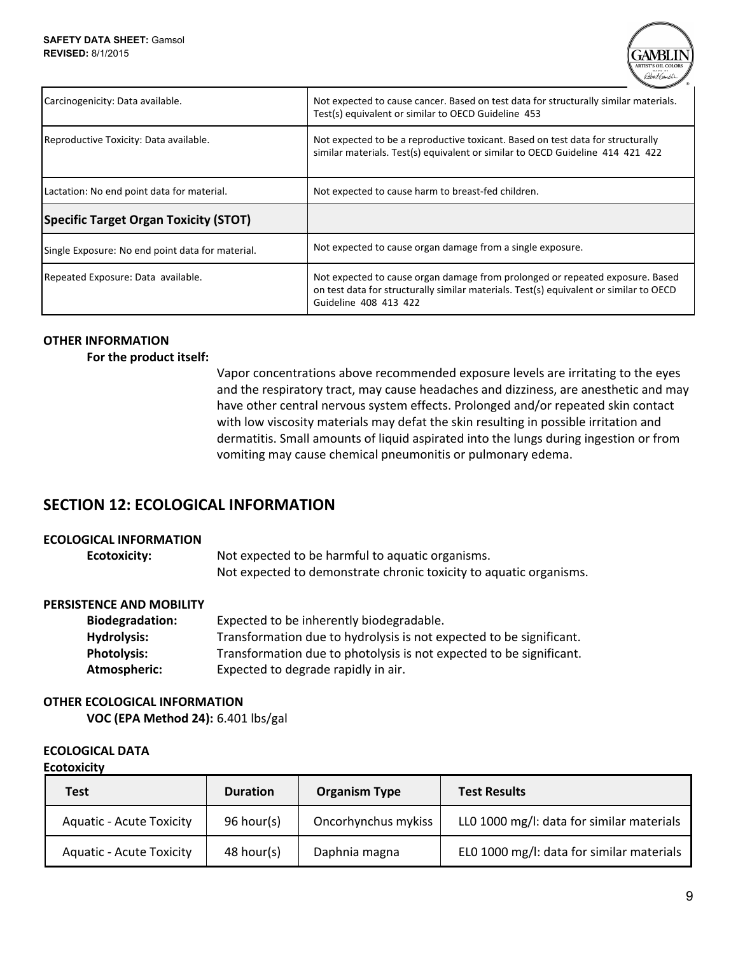

| Carcinogenicity: Data available.                 | Not expected to cause cancer. Based on test data for structurally similar materials.<br>Test(s) equivalent or similar to OECD Guideline 453                                                      |
|--------------------------------------------------|--------------------------------------------------------------------------------------------------------------------------------------------------------------------------------------------------|
| Reproductive Toxicity: Data available.           | Not expected to be a reproductive toxicant. Based on test data for structurally<br>similar materials. Test(s) equivalent or similar to OECD Guideline 414 421 422                                |
| Lactation: No end point data for material.       | Not expected to cause harm to breast-fed children.                                                                                                                                               |
| <b>Specific Target Organ Toxicity (STOT)</b>     |                                                                                                                                                                                                  |
| Single Exposure: No end point data for material. | Not expected to cause organ damage from a single exposure.                                                                                                                                       |
| Repeated Exposure: Data available.               | Not expected to cause organ damage from prolonged or repeated exposure. Based<br>on test data for structurally similar materials. Test(s) equivalent or similar to OECD<br>Guideline 408 413 422 |

# **OTHER INFORMATION**

## **For the product itself:**

Vapor concentrations above recommended exposure levels are irritating to the eyes and the respiratory tract, may cause headaches and dizziness, are anesthetic and may have other central nervous system effects. Prolonged and/or repeated skin contact with low viscosity materials may defat the skin resulting in possible irritation and dermatitis. Small amounts of liquid aspirated into the lungs during ingestion or from vomiting may cause chemical pneumonitis or pulmonary edema.

# **SECTION 12: ECOLOGICAL INFORMATION**

## **ECOLOGICAL INFORMATION**

| Ecotoxicity: | Not expected to be harmful to aquatic organisms.                   |
|--------------|--------------------------------------------------------------------|
|              | Not expected to demonstrate chronic toxicity to aquatic organisms. |

# **PERSISTENCE AND MOBILITY**

| <b>Biodegradation:</b> | Expected to be inherently biodegradable.                            |
|------------------------|---------------------------------------------------------------------|
| <b>Hydrolysis:</b>     | Transformation due to hydrolysis is not expected to be significant. |
| <b>Photolysis:</b>     | Transformation due to photolysis is not expected to be significant. |
| Atmospheric:           | Expected to degrade rapidly in air.                                 |

# **OTHER ECOLOGICAL INFORMATION**

**VOC (EPA Method 24):** 6.401 lbs/gal

# **ECOLOGICAL DATA**

#### **Ecotoxicity**

| Test                            | <b>Duration</b> | <b>Organism Type</b> | <b>Test Results</b>                       |
|---------------------------------|-----------------|----------------------|-------------------------------------------|
| <b>Aquatic - Acute Toxicity</b> | 96 hour(s)      | Oncorhynchus mykiss  | LLO 1000 mg/l: data for similar materials |
| <b>Aquatic - Acute Toxicity</b> | 48 hour(s)      | Daphnia magna        | ELO 1000 mg/l: data for similar materials |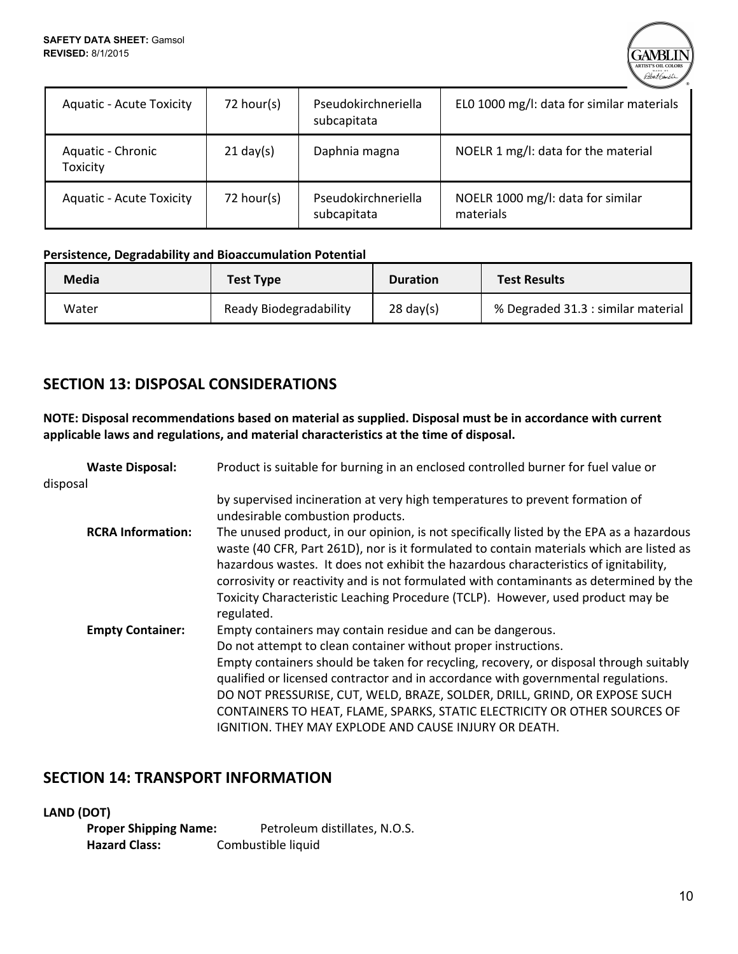

| <b>Aquatic - Acute Toxicity</b> | 72 hour(s)          | Pseudokirchneriella<br>subcapitata | ELO 1000 mg/l: data for similar materials      |
|---------------------------------|---------------------|------------------------------------|------------------------------------------------|
| Aquatic - Chronic<br>Toxicity   | $21 \text{ day}(s)$ | Daphnia magna                      | NOELR 1 mg/l: data for the material            |
| <b>Aquatic - Acute Toxicity</b> | 72 hour(s)          | Pseudokirchneriella<br>subcapitata | NOELR 1000 mg/l: data for similar<br>materials |

## **Persistence, Degradability and Bioaccumulation Potential**

| Media | <b>Test Type</b>       | <b>Duration</b>     | <b>Test Results</b>                |
|-------|------------------------|---------------------|------------------------------------|
| Water | Ready Biodegradability | $28 \text{ day(s)}$ | % Degraded 31.3 : similar material |

# **SECTION 13: DISPOSAL CONSIDERATIONS**

**NOTE: Disposal recommendations based on material as supplied. Disposal must be in accordance with current applicable laws and regulations, and material characteristics at the time of disposal.**

| <b>Waste Disposal:</b>   | Product is suitable for burning in an enclosed controlled burner for fuel value or                                                                                                                                                                                                                                                                                                                                                                                                                                             |
|--------------------------|--------------------------------------------------------------------------------------------------------------------------------------------------------------------------------------------------------------------------------------------------------------------------------------------------------------------------------------------------------------------------------------------------------------------------------------------------------------------------------------------------------------------------------|
| disposal                 |                                                                                                                                                                                                                                                                                                                                                                                                                                                                                                                                |
|                          | by supervised incineration at very high temperatures to prevent formation of<br>undesirable combustion products.                                                                                                                                                                                                                                                                                                                                                                                                               |
| <b>RCRA Information:</b> | The unused product, in our opinion, is not specifically listed by the EPA as a hazardous<br>waste (40 CFR, Part 261D), nor is it formulated to contain materials which are listed as<br>hazardous wastes. It does not exhibit the hazardous characteristics of ignitability,<br>corrosivity or reactivity and is not formulated with contaminants as determined by the<br>Toxicity Characteristic Leaching Procedure (TCLP). However, used product may be<br>regulated.                                                        |
| <b>Empty Container:</b>  | Empty containers may contain residue and can be dangerous.<br>Do not attempt to clean container without proper instructions.<br>Empty containers should be taken for recycling, recovery, or disposal through suitably<br>qualified or licensed contractor and in accordance with governmental regulations.<br>DO NOT PRESSURISE, CUT, WELD, BRAZE, SOLDER, DRILL, GRIND, OR EXPOSE SUCH<br>CONTAINERS TO HEAT, FLAME, SPARKS, STATIC ELECTRICITY OR OTHER SOURCES OF<br>IGNITION. THEY MAY EXPLODE AND CAUSE INJURY OR DEATH. |

# **SECTION 14: TRANSPORT INFORMATION**

**LAND (DOT)**

**Proper Shipping Name:** Petroleum distillates, N.O.S. **Hazard Class:** Combustible liquid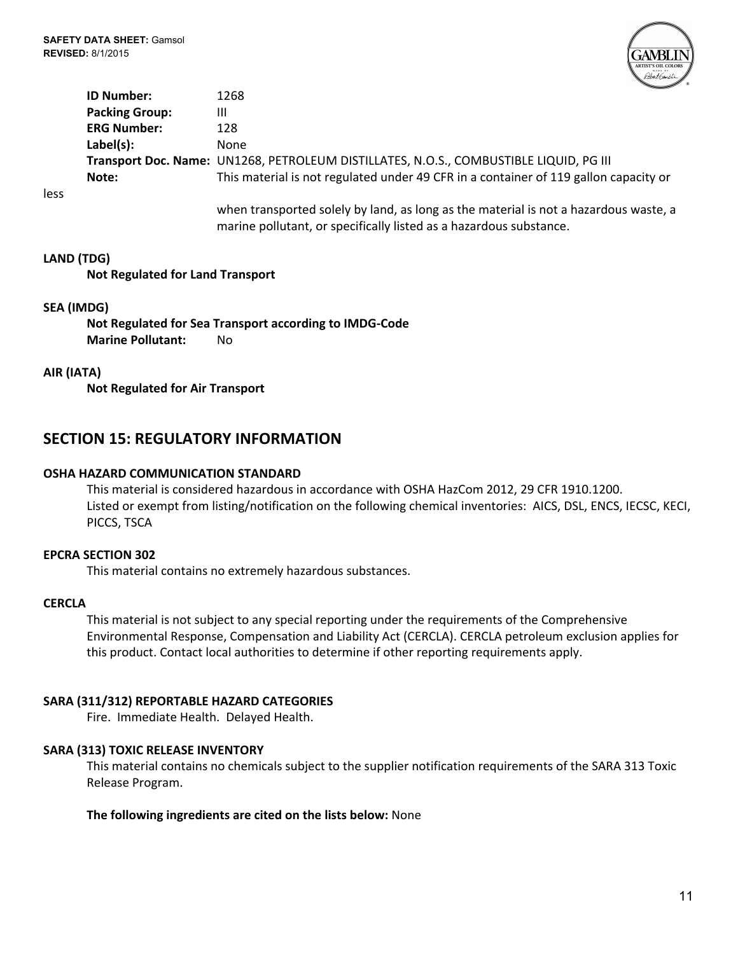**SAFETY DATA SHEET:**Gamsol **REVISED:**8/1/2015



**ID Number:** 1268 **Packing Group:** III **ERG Number:** 128 Label(s): None **Transport Doc. Name:** UN1268, PETROLEUM DISTILLATES, N.O.S., COMBUSTIBLE LIQUID, PG III **Note:** This material is not regulated under 49 CFR in a container of 119 gallon capacity or

less

when transported solely by land, as long as the material is not a hazardous waste, a marine pollutant, or specifically listed as a hazardous substance.

#### **LAND (TDG)**

**Not Regulated for Land Transport**

#### **SEA (IMDG)**

**Not Regulated for Sea Transport according to IMDG-Code Marine Pollutant: No** 

#### **AIR (IATA)**

**Not Regulated for Air Transport**

# **SECTION 15: REGULATORY INFORMATION**

## **OSHA HAZARD COMMUNICATION STANDARD**

This material is considered hazardous in accordance with OSHA HazCom 2012, 29 CFR 1910.1200. Listed or exempt from listing/notification on the following chemical inventories: AICS, DSL, ENCS, IECSC, KECI, PICCS, TSCA

#### **EPCRA SECTION 302**

This material contains no extremely hazardous substances.

#### **CERCLA**

This material is not subject to any special reporting under the requirements of the Comprehensive Environmental Response, Compensation and Liability Act (CERCLA). CERCLA petroleum exclusion applies for this product. Contact local authorities to determine if other reporting requirements apply.

#### **SARA (311/312) REPORTABLE HAZARD CATEGORIES**

Fire. Immediate Health. Delayed Health.

#### **SARA (313) TOXIC RELEASE INVENTORY**

This material contains no chemicals subject to the supplier notification requirements of the SARA 313 Toxic Release Program.

**The following ingredients are cited on the lists below:** None